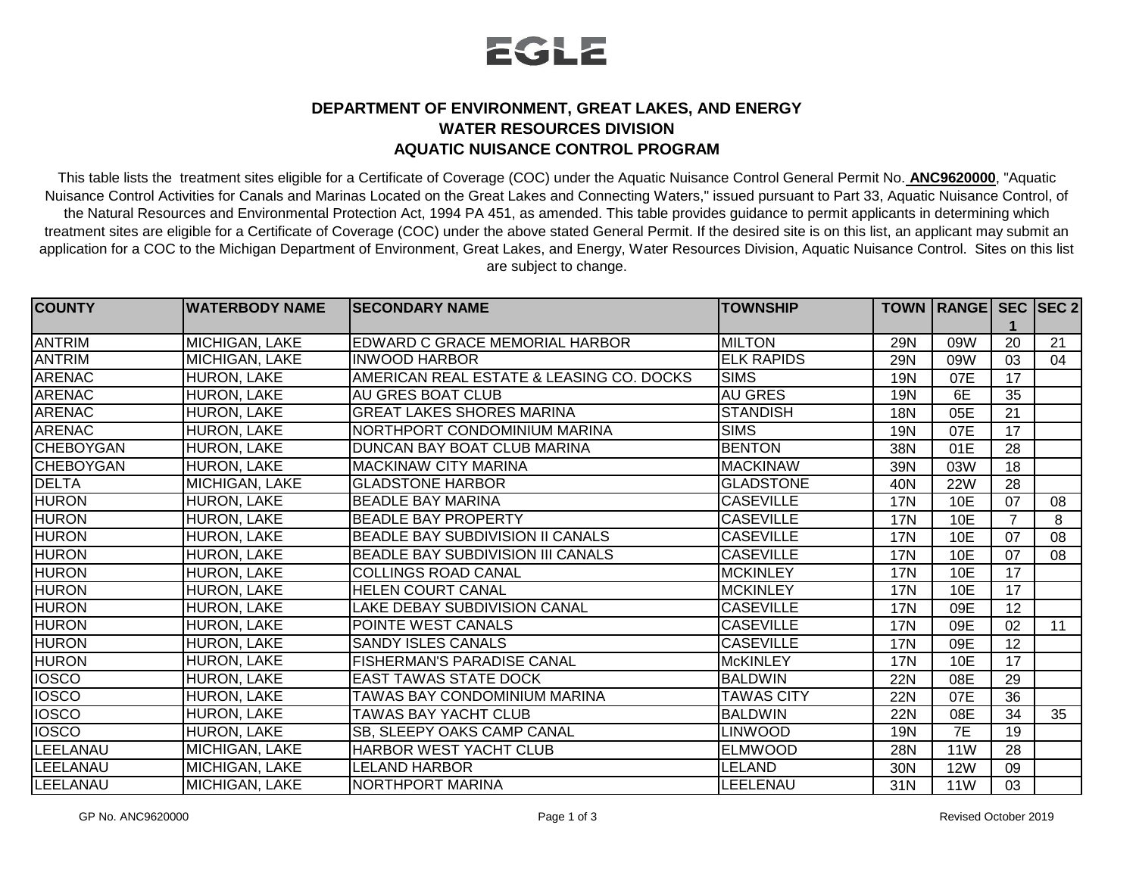

## **DEPARTMENT OF ENVIRONMENT, GREAT LAKES, AND ENERGY WATER RESOURCES DIVISION AQUATIC NUISANCE CONTROL PROGRAM**

This table lists the treatment sites eligible for a Certificate of Coverage (COC) under the Aquatic Nuisance Control General Permit No. **ANC9620000**, "Aquatic Nuisance Control Activities for Canals and Marinas Located on the Great Lakes and Connecting Waters," issued pursuant to Part 33, Aquatic Nuisance Control, of the Natural Resources and Environmental Protection Act, 1994 PA 451, as amended. This table provides guidance to permit applicants in determining which treatment sites are eligible for a Certificate of Coverage (COC) under the above stated General Permit. If the desired site is on this list, an applicant may submit an application for a COC to the Michigan Department of Environment, Great Lakes, and Energy, Water Resources Division, Aquatic Nuisance Control. Sites on this list are subject to change.

| <b>ICOUNTY</b>   | <b>WATERBODY NAME</b> | <b>ISECONDARY NAME</b>                   | <b>TOWNSHIP</b>   |            | TOWN   RANGE   SEC   SEC 2 |    |    |
|------------------|-----------------------|------------------------------------------|-------------------|------------|----------------------------|----|----|
|                  |                       |                                          |                   |            |                            |    |    |
| <b>ANTRIM</b>    | MICHIGAN, LAKE        | EDWARD C GRACE MEMORIAL HARBOR           | <b>MILTON</b>     | <b>29N</b> | 09W                        | 20 | 21 |
| <b>ANTRIM</b>    | MICHIGAN, LAKE        | <b>INWOOD HARBOR</b>                     | <b>ELK RAPIDS</b> | <b>29N</b> | 09W                        | 03 | 04 |
| <b>ARENAC</b>    | HURON, LAKE           | AMERICAN REAL ESTATE & LEASING CO. DOCKS | <b>SIMS</b>       | 19N        | 07E                        | 17 |    |
| <b>ARENAC</b>    | HURON, LAKE           | AU GRES BOAT CLUB                        | <b>AU GRES</b>    | <b>19N</b> | 6E                         | 35 |    |
| <b>ARENAC</b>    | HURON, LAKE           | <b>GREAT LAKES SHORES MARINA</b>         | <b>STANDISH</b>   | 18N        | 05E                        | 21 |    |
| <b>ARENAC</b>    | HURON, LAKE           | NORTHPORT CONDOMINIUM MARINA             | <b>SIMS</b>       | <b>19N</b> | 07E                        | 17 |    |
| <b>CHEBOYGAN</b> | HURON, LAKE           | DUNCAN BAY BOAT CLUB MARINA              | <b>BENTON</b>     | 38N        | 01E                        | 28 |    |
| <b>CHEBOYGAN</b> | HURON, LAKE           | <b>MACKINAW CITY MARINA</b>              | <b>MACKINAW</b>   | 39N        | 03W                        | 18 |    |
| <b>DELTA</b>     | <b>MICHIGAN, LAKE</b> | <b>GLADSTONE HARBOR</b>                  | <b>GLADSTONE</b>  | 40N        | <b>22W</b>                 | 28 |    |
| <b>HURON</b>     | HURON, LAKE           | <b>BEADLE BAY MARINA</b>                 | <b>CASEVILLE</b>  | <b>17N</b> | 10E                        | 07 | 08 |
| <b>HURON</b>     | HURON, LAKE           | <b>BEADLE BAY PROPERTY</b>               | <b>CASEVILLE</b>  | 17N        | 10E                        |    | 8  |
| <b>HURON</b>     | HURON, LAKE           | <b>BEADLE BAY SUBDIVISION II CANALS</b>  | <b>CASEVILLE</b>  | <b>17N</b> | 10E                        | 07 | 08 |
| <b>HURON</b>     | <b>HURON, LAKE</b>    | <b>BEADLE BAY SUBDIVISION III CANALS</b> | <b>CASEVILLE</b>  | <b>17N</b> | <b>10E</b>                 | 07 | 08 |
| <b>HURON</b>     | HURON, LAKE           | COLLINGS ROAD CANAL                      | <b>MCKINLEY</b>   | 17N        | 10E                        | 17 |    |
| <b>HURON</b>     | <b>HURON, LAKE</b>    | <b>HELEN COURT CANAL</b>                 | <b>MCKINLEY</b>   | 17N        | 10E                        | 17 |    |
| <b>HURON</b>     | HURON, LAKE           | LAKE DEBAY SUBDIVISION CANAL             | <b>CASEVILLE</b>  | <b>17N</b> | 09E                        | 12 |    |
| <b>HURON</b>     | HURON, LAKE           | POINTE WEST CANALS                       | <b>CASEVILLE</b>  | <b>17N</b> | 09E                        | 02 | 11 |
| <b>HURON</b>     | HURON, LAKE           | <b>SANDY ISLES CANALS</b>                | <b>CASEVILLE</b>  | <b>17N</b> | 09E                        | 12 |    |
| <b>HURON</b>     | HURON, LAKE           | <b>FISHERMAN'S PARADISE CANAL</b>        | <b>McKINLEY</b>   | <b>17N</b> | 10E                        | 17 |    |
| <b>IOSCO</b>     | HURON, LAKE           | <b>EAST TAWAS STATE DOCK</b>             | <b>BALDWIN</b>    | <b>22N</b> | 08E                        | 29 |    |
| <b>IOSCO</b>     | HURON, LAKE           | <b>TAWAS BAY CONDOMINIUM MARINA</b>      | <b>TAWAS CITY</b> | <b>22N</b> | 07E                        | 36 |    |
| <b>IOSCO</b>     | HURON, LAKE           | <b>TAWAS BAY YACHT CLUB</b>              | <b>BALDWIN</b>    | <b>22N</b> | 08E                        | 34 | 35 |
| <b>IOSCO</b>     | HURON, LAKE           | SB, SLEEPY OAKS CAMP CANAL               | <b>LINWOOD</b>    | 19N        | 7E                         | 19 |    |
| LEELANAU         | <b>MICHIGAN, LAKE</b> | HARBOR WEST YACHT CLUB                   | <b>ELMWOOD</b>    | <b>28N</b> | <b>11W</b>                 | 28 |    |
| LEELANAU         | MICHIGAN, LAKE        | <b>LELAND HARBOR</b>                     | LELAND            | 30N        | <b>12W</b>                 | 09 |    |
| LEELANAU         | MICHIGAN, LAKE        | NORTHPORT MARINA                         | LEELENAU          | 31N        | <b>11W</b>                 | 03 |    |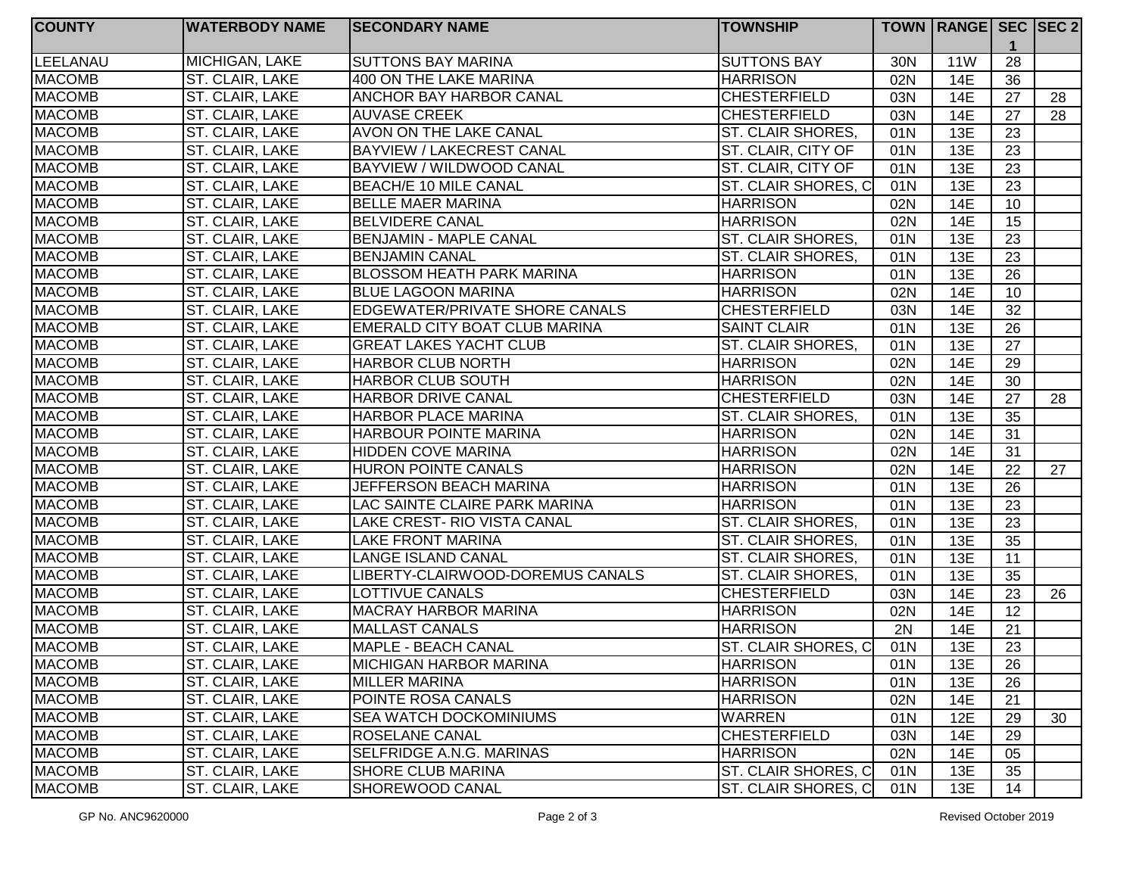| <b>COUNTY</b> | <b>WATERBODY NAME</b> | <b>SECONDARY NAME</b>              | <b>TOWNSHIP</b>          |     | TOWN   RANGE   SEC   SEC 2 |                 |    |
|---------------|-----------------------|------------------------------------|--------------------------|-----|----------------------------|-----------------|----|
| LEELANAU      | MICHIGAN, LAKE        | <b>SUTTONS BAY MARINA</b>          | <b>SUTTONS BAY</b>       | 30N | <b>11W</b>                 | 28              |    |
| <b>MACOMB</b> | ST. CLAIR, LAKE       | 400 ON THE LAKE MARINA             | <b>HARRISON</b>          | 02N | <b>14E</b>                 | $\overline{36}$ |    |
| <b>MACOMB</b> | ST. CLAIR, LAKE       | <b>ANCHOR BAY HARBOR CANAL</b>     | <b>CHESTERFIELD</b>      | 03N | 14E                        | 27              | 28 |
| <b>MACOMB</b> | ST. CLAIR, LAKE       | <b>AUVASE CREEK</b>                | <b>CHESTERFIELD</b>      | 03N | 14E                        | 27              | 28 |
| <b>MACOMB</b> | ST. CLAIR, LAKE       | AVON ON THE LAKE CANAL             | <b>ST. CLAIR SHORES,</b> | 01N | 13E                        | 23              |    |
| <b>MACOMB</b> | ST. CLAIR, LAKE       | <b>BAYVIEW / LAKECREST CANAL</b>   | ST. CLAIR, CITY OF       | 01N | 13E                        | 23              |    |
| <b>MACOMB</b> | ST. CLAIR, LAKE       | BAYVIEW / WILDWOOD CANAL           | ST. CLAIR, CITY OF       | 01N | 13E                        | 23              |    |
| <b>MACOMB</b> | ST. CLAIR, LAKE       | BEACH/E 10 MILE CANAL              | ST. CLAIR SHORES, C      | 01N | 13E                        | 23              |    |
| <b>MACOMB</b> | ST. CLAIR, LAKE       | <b>BELLE MAER MARINA</b>           | <b>HARRISON</b>          | 02N | <b>14E</b>                 | 10              |    |
| <b>MACOMB</b> | ST. CLAIR, LAKE       | <b>BELVIDERE CANAL</b>             | <b>HARRISON</b>          | 02N | <b>14E</b>                 | 15              |    |
| <b>MACOMB</b> | ST. CLAIR, LAKE       | <b>BENJAMIN - MAPLE CANAL</b>      | ST. CLAIR SHORES,        | 01N | 13E                        | 23              |    |
| <b>MACOMB</b> | ST. CLAIR, LAKE       | <b>BENJAMIN CANAL</b>              | ST. CLAIR SHORES,        | 01N | 13E                        | 23              |    |
| <b>MACOMB</b> | ST. CLAIR, LAKE       | <b>BLOSSOM HEATH PARK MARINA</b>   | <b>HARRISON</b>          | 01N | 13E                        | 26              |    |
| <b>MACOMB</b> | ST. CLAIR, LAKE       | <b>BLUE LAGOON MARINA</b>          | <b>HARRISON</b>          | 02N | <b>14E</b>                 | 10              |    |
| <b>MACOMB</b> | ST. CLAIR, LAKE       | EDGEWATER/PRIVATE SHORE CANALS     | <b>CHESTERFIELD</b>      | 03N | <b>14E</b>                 | 32              |    |
| <b>MACOMB</b> | ST. CLAIR, LAKE       | EMERALD CITY BOAT CLUB MARINA      | <b>SAINT CLAIR</b>       | 01N | 13E                        | 26              |    |
| <b>MACOMB</b> | ST. CLAIR, LAKE       | <b>GREAT LAKES YACHT CLUB</b>      | <b>ST. CLAIR SHORES,</b> | 01N | 13E                        | 27              |    |
| <b>MACOMB</b> | ST. CLAIR, LAKE       | <b>HARBOR CLUB NORTH</b>           | <b>HARRISON</b>          | 02N | 14E                        | 29              |    |
| <b>MACOMB</b> | ST. CLAIR, LAKE       | <b>HARBOR CLUB SOUTH</b>           | <b>HARRISON</b>          | 02N | <b>14E</b>                 | 30              |    |
| <b>MACOMB</b> | ST. CLAIR, LAKE       | <b>HARBOR DRIVE CANAL</b>          | <b>CHESTERFIELD</b>      | 03N | 14E                        | 27              | 28 |
| <b>MACOMB</b> | ST. CLAIR, LAKE       | <b>HARBOR PLACE MARINA</b>         | <b>ST. CLAIR SHORES,</b> | 01N | 13E                        | 35              |    |
| <b>MACOMB</b> | ST. CLAIR, LAKE       | HARBOUR POINTE MARINA              | <b>HARRISON</b>          | 02N | 14E                        | 31              |    |
| <b>MACOMB</b> | ST. CLAIR, LAKE       | <b>HIDDEN COVE MARINA</b>          | <b>HARRISON</b>          | 02N | <b>14E</b>                 | 31              |    |
| <b>MACOMB</b> | ST. CLAIR, LAKE       | <b>HURON POINTE CANALS</b>         | <b>HARRISON</b>          | 02N | 14E                        | 22              | 27 |
| <b>MACOMB</b> | ST. CLAIR, LAKE       | JEFFERSON BEACH MARINA             | <b>HARRISON</b>          | 01N | 13E                        | 26              |    |
| <b>MACOMB</b> | ST. CLAIR, LAKE       | LAC SAINTE CLAIRE PARK MARINA      | <b>HARRISON</b>          | 01N | 13E                        | 23              |    |
| <b>MACOMB</b> | ST. CLAIR, LAKE       | <b>LAKE CREST- RIO VISTA CANAL</b> | ST. CLAIR SHORES,        | 01N | 13E                        | 23              |    |
| <b>MACOMB</b> | ST. CLAIR, LAKE       | <b>LAKE FRONT MARINA</b>           | ST. CLAIR SHORES,        | 01N | 13E                        | 35              |    |
| <b>MACOMB</b> | ST. CLAIR, LAKE       | <b>LANGE ISLAND CANAL</b>          | <b>ST. CLAIR SHORES,</b> | 01N | 13E                        | 11              |    |
| <b>MACOMB</b> | ST. CLAIR, LAKE       | LIBERTY-CLAIRWOOD-DOREMUS CANALS   | ST. CLAIR SHORES,        | 01N | 13E                        | 35              |    |
| <b>MACOMB</b> | ST. CLAIR, LAKE       | <b>LOTTIVUE CANALS</b>             | <b>CHESTERFIELD</b>      | 03N | 14E                        | 23              | 26 |
| <b>MACOMB</b> | ST. CLAIR, LAKE       | <b>MACRAY HARBOR MARINA</b>        | <b>HARRISON</b>          | 02N | <b>14E</b>                 | 12              |    |
| <b>MACOMB</b> | ST. CLAIR, LAKE       | <b>MALLAST CANALS</b>              | <b>HARRISON</b>          | 2N  | <b>14E</b>                 | 21              |    |
| <b>MACOMB</b> | ST. CLAIR, LAKE       | <b>MAPLE - BEACH CANAL</b>         | ST. CLAIR SHORES, C      | 01N | 13E                        | 23              |    |
| <b>MACOMB</b> | ST. CLAIR, LAKE       | <b>MICHIGAN HARBOR MARINA</b>      | <b>HARRISON</b>          | 01N | 13E                        | 26              |    |
| <b>MACOMB</b> | ST. CLAIR, LAKE       | <b>MILLER MARINA</b>               | <b>HARRISON</b>          | 01N | 13E                        | 26              |    |
| <b>MACOMB</b> | ST. CLAIR, LAKE       | POINTE ROSA CANALS                 | <b>HARRISON</b>          | 02N | 14E                        | 21              |    |
| <b>MACOMB</b> | ST. CLAIR, LAKE       | SEA WATCH DOCKOMINIUMS             | <b>WARREN</b>            | 01N | 12E                        | 29              | 30 |
| <b>MACOMB</b> | ST. CLAIR, LAKE       | <b>ROSELANE CANAL</b>              | <b>CHESTERFIELD</b>      | 03N | 14E                        | 29              |    |
| <b>MACOMB</b> | ST. CLAIR, LAKE       | SELFRIDGE A.N.G. MARINAS           | <b>HARRISON</b>          | 02N | 14E                        | 05              |    |
| <b>MACOMB</b> | ST. CLAIR, LAKE       | <b>SHORE CLUB MARINA</b>           | ST. CLAIR SHORES, C      | 01N | 13E                        | 35              |    |
| <b>MACOMB</b> | ST. CLAIR, LAKE       | SHOREWOOD CANAL                    | ST. CLAIR SHORES, C      | 01N | 13E                        | 14              |    |